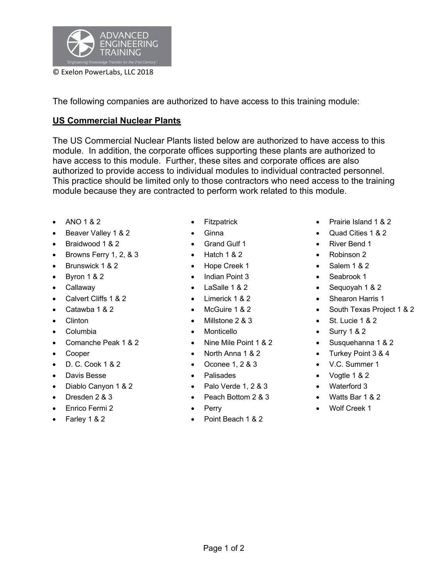

The following companies are authorized to have access to this training module:

## **US Commercial Nuclear Plants**

The US Commercial Nuclear Plants listed below are authorized to have access to this module. In addition, the corporate offices supporting these plants are authorized to have access to this module. Further, these sites and corporate offices are also authorized to provide access to individual modules to individual contracted personnel. This practice should be limited only to those contractors who need access to the training module because they are contracted to perform work related to this module.

- 
- Beaver Valley 1 & 2 Ginna Quad Cities 1 & 2
- **Braidwood 1 & 2 •** Grand Gulf 1 **• Fixed 1 •** River Bend 1
- Browns Ferry 1, 2, & 3 Hatch 1 & 2 Robinson 2
- Brunswick 1 & 2 Hope Creek 1 Salem 1 & 2
- 
- 
- 
- 
- 
- 
- 
- 
- 
- 
- 
- 
- 
- 
- 
- 
- 
- 
- 
- Byron 1 & 2 Indian Point 3 Seabrook 1
	-
	-
	-
	-
	-
- Comanche Peak 1 & 2 Nine Mile Point 1 & 2 Susquehanna 1 & 2
	-
- D. C. Cook 1 & 2 Oconee 1, 2 & 3 V.C. Summer 1
	-
- Diablo Canyon 1 & 2 Palo Verde 1, 2 & 3 Waterford 3
- Dresden 2 & 3 Peach Bottom 2 & 3 Watts Bar 1 & 2
	-
- Farley 1 & 2 Point Beach 1 & 2
- ANO 1 & 2 Fitzpatrick Prairie Island 1 & 2
	-
	-
	-
	-
	-
- Callaway LaSalle 1 & 2 Sequoyah 1 & 2
- Calvert Cliffs 1 & 2 Limerick 1 & 2 Shearon Harris 1
- Catawba 1 & 2 McGuire 1 & 2 South Texas Project 1 & 2
- Clinton Millstone 2 & 3 St. Lucie 1 & 2
- Columbia Monticello Surry 1 & 2
	-
- **Cooper** North Anna 1 & 2 Turkey Point 3 & 4
	-
- Davis Besse Palisades Vogtle 1 & 2
	-
	-
	- Enrico Fermi 2 Perry Wolf Creek 1